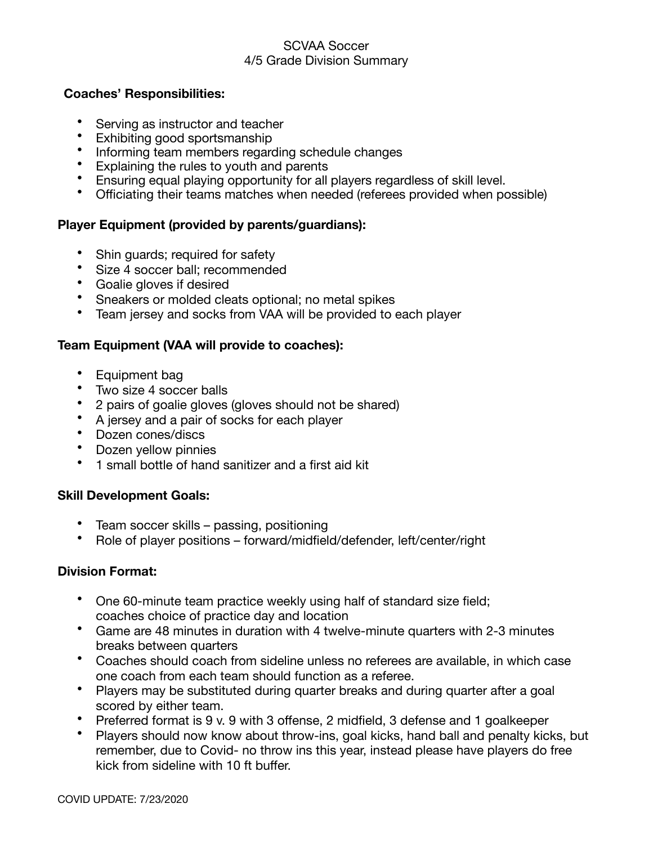#### SCVAA Soccer 4/5 Grade Division Summary

#### **Coaches' Responsibilities:**

- Serving as instructor and teacher
- Exhibiting good sportsmanship
- Informing team members regarding schedule changes
- Explaining the rules to youth and parents
- Ensuring equal playing opportunity for all players regardless of skill level.
- Officiating their teams matches when needed (referees provided when possible)

### **Player Equipment (provided by parents/guardians):**

- Shin guards; required for safety
- Size 4 soccer ball; recommended
- Goalie gloves if desired
- Sneakers or molded cleats optional; no metal spikes
- Team jersey and socks from VAA will be provided to each player

# **Team Equipment (VAA will provide to coaches):**

- Equipment bag
- Two size 4 soccer balls
- 2 pairs of goalie gloves (gloves should not be shared)
- A jersey and a pair of socks for each player
- Dozen cones/discs
- Dozen yellow pinnies
- 1 small bottle of hand sanitizer and a first aid kit

# **Skill Development Goals:**

- Team soccer skills passing, positioning
- Role of player positions forward/midfield/defender, left/center/right

# **Division Format:**

- One 60-minute team practice weekly using half of standard size field; coaches choice of practice day and location
- Game are 48 minutes in duration with 4 twelve-minute quarters with 2-3 minutes breaks between quarters
- Coaches should coach from sideline unless no referees are available, in which case one coach from each team should function as a referee.
- Players may be substituted during quarter breaks and during quarter after a goal scored by either team.
- Preferred format is 9 v. 9 with 3 offense, 2 midfield, 3 defense and 1 goalkeeper
- Players should now know about throw-ins, goal kicks, hand ball and penalty kicks, but remember, due to Covid- no throw ins this year, instead please have players do free kick from sideline with 10 ft buffer.